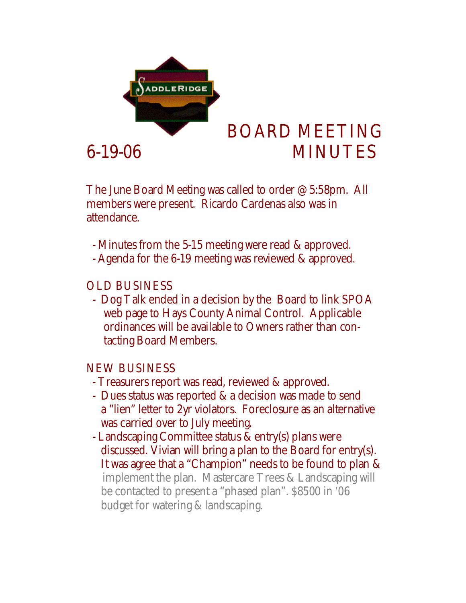

## BOARD MEETING 6-19-06 MINUTES

The June Board Meeting was called to order @ 5:58pm. All members were present. Ricardo Cardenas also was in attendance.

- Minutes from the 5-15 meeting were read & approved.

- Agenda for the 6-19 meeting was reviewed & approved.

## OLD BUSINESS

 - Dog Talk ended in a decision by the Board to link SPOA web page to Hays County Animal Control. Applicable ordinances will be available to Owners rather than con tacting Board Members.

## NEW BUSINESS

- Treasurers report was read, reviewed & approved.
- Dues status was reported & a decision was made to send a "lien" letter to 2yr violators. Foreclosure as an alternative was carried over to July meeting.
- Landscaping Committee status & entry(s) plans were discussed. Vivian will bring a plan to the Board for entry(s). It was agree that a "Champion" needs to be found to plan & implement the plan. Mastercare Trees & Landscaping will be contacted to present a "phased plan". \$8500 in '06 budget for watering & landscaping.